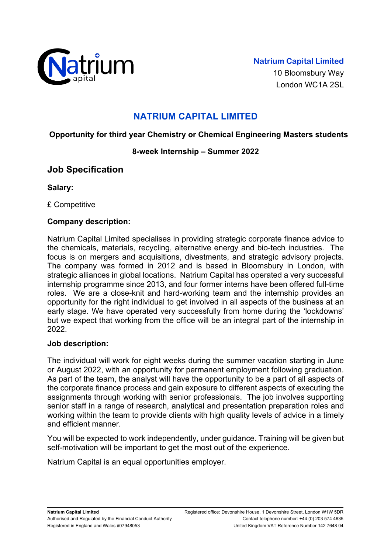

London WC1A 2SL

# **NATRIUM CAPITAL LIMITED**

### **Opportunity for third year Chemistry or Chemical Engineering Masters students**

#### **8-week Internship – Summer 2022**

## **Job Specification**

**Salary:**

£ Competitive

### **Company description:**

Natrium Capital Limited specialises in providing strategic corporate finance advice to the chemicals, materials, recycling, alternative energy and bio-tech industries. The focus is on mergers and acquisitions, divestments, and strategic advisory projects. The company was formed in 2012 and is based in Bloomsbury in London, with strategic alliances in global locations. Natrium Capital has operated a very successful internship programme since 2013, and four former interns have been offered full-time roles. We are a close-knit and hard-working team and the internship provides an opportunity for the right individual to get involved in all aspects of the business at an early stage. We have operated very successfully from home during the 'lockdowns' but we expect that working from the office will be an integral part of the internship in 2022.

#### **Job description:**

The individual will work for eight weeks during the summer vacation starting in June or August 2022, with an opportunity for permanent employment following graduation. As part of the team, the analyst will have the opportunity to be a part of all aspects of the corporate finance process and gain exposure to different aspects of executing the assignments through working with senior professionals. The job involves supporting senior staff in a range of research, analytical and presentation preparation roles and working within the team to provide clients with high quality levels of advice in a timely and efficient manner.

You will be expected to work independently, under guidance. Training will be given but self-motivation will be important to get the most out of the experience.

Natrium Capital is an equal opportunities employer.